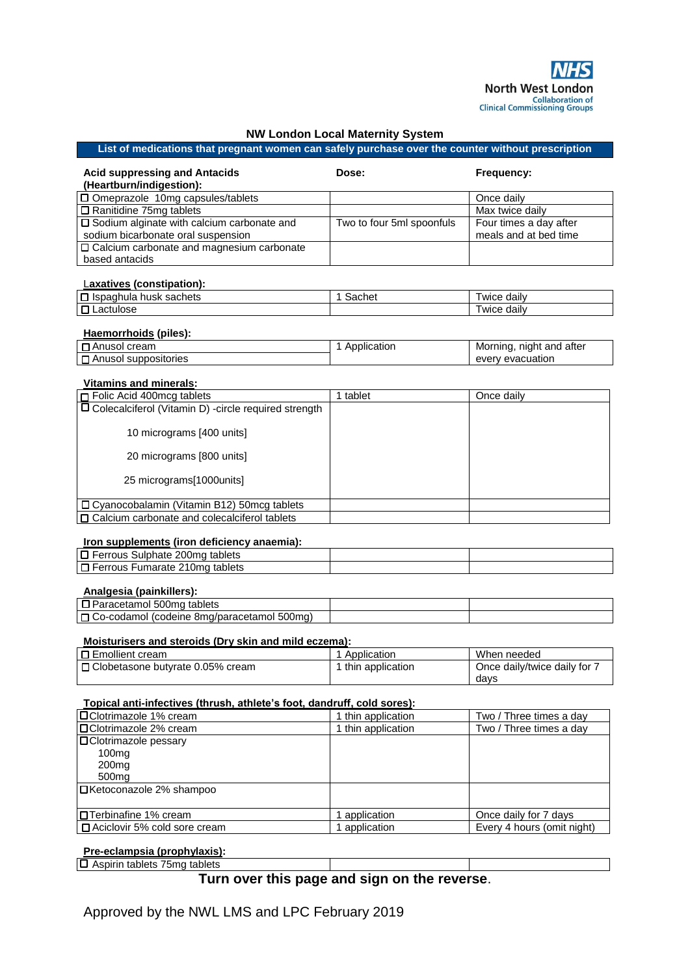## **NW London Local Maternity System**

### **List of medications that pregnant women can safely purchase over the counter without prescription**

| <b>Acid suppressing and Antacids</b><br>(Heartburn/indigestion): | Dose:                     | Frequency:             |
|------------------------------------------------------------------|---------------------------|------------------------|
| $\square$ Omeprazole 10mg capsules/tablets                       |                           | Once daily             |
| $\Box$ Ranitidine 75mg tablets                                   |                           | Max twice daily        |
| □ Sodium alginate with calcium carbonate and                     | Two to four 5ml spoonfuls | Four times a day after |
| sodium bicarbonate oral suspension                               |                           | meals and at bed time  |
| $\Box$ Calcium carbonate and magnesium carbonate                 |                           |                        |
| based antacids                                                   |                           |                        |

### L**axatives (constipation):**

| $\overline{\phantom{0}}$<br>sachets<br>าเมล<br>TIUSK<br>$\sim$<br>ــا ' | ----<br>ne | …e dailv<br>WI 0      |
|-------------------------------------------------------------------------|------------|-----------------------|
| −<br>auuac                                                              |            | …e dailv<br><b>WI</b> |

### **Haemorrhoids (piles):**

| cream<br>Anusol                           | plication | atter<br>Morning<br>and<br>night<br>◡ |
|-------------------------------------------|-----------|---------------------------------------|
| $\overline{a}$<br>suppositories<br>Anusoi |           | <sup>.</sup> evacuation<br>everv      |

### **Vitamins and minerals:**

| □ Folic Acid 400mcg tablets                                    | tablet | Once daily |
|----------------------------------------------------------------|--------|------------|
| $\square$ Colecalciferol (Vitamin D) -circle required strength |        |            |
| 10 micrograms [400 units]                                      |        |            |
| 20 micrograms [800 units]                                      |        |            |
| 25 micrograms[1000units]                                       |        |            |
| □ Cyanocobalamin (Vitamin B12) 50mcg tablets                   |        |            |
| $\Box$ Calcium carbonate and colecalciferol tablets            |        |            |

### **Iron supplements (iron deficiency anaemia):**

| tablets<br>Sulphate 200mg<br>Ferrous            |  |  |
|-------------------------------------------------|--|--|
| ∙umarate 2<br>tablets<br>10mc<br><b>Ferrous</b> |  |  |
|                                                 |  |  |

#### **Analgesia (painkillers):**

| .                                                                                     |  |
|---------------------------------------------------------------------------------------|--|
| –<br>500 <sub>1</sub><br>tablets<br>агасетантог                                       |  |
| □<br>500 <sub>ma</sub><br>mg/paracetamor.<br>l (codeine 8mɑ/parac<br>nol.<br>Co-codam |  |
|                                                                                       |  |

### **Moisturisers and steroids (Dry skin and mild eczema):**

| l □ Emollient cream                | Application      | When needed                  |
|------------------------------------|------------------|------------------------------|
| □ Clobetasone butyrate 0.05% cream | thin application | Once daily/twice daily for 7 |
|                                    |                  | davs                         |

### **Topical anti-infectives (thrush, athlete's foot, dandruff, cold sores):**

| □ Clotrimazole 1% cream         | 1 thin application | Two / Three times a day    |
|---------------------------------|--------------------|----------------------------|
| I□Clotrimazole 2% cream         | 1 thin application | Two / Three times a day    |
| I <b>□</b> Clotrimazole pessary |                    |                            |
| 100 <sub>mg</sub>               |                    |                            |
| 200 <sub>mg</sub>               |                    |                            |
| 500 <sub>mg</sub>               |                    |                            |
| IDKetoconazole 2% shampoo       |                    |                            |
|                                 |                    |                            |
| InTerbinafine 1% cream          | application        | Once daily for 7 days      |
| □ Aciclovir 5% cold sore cream  | application        | Every 4 hours (omit night) |

#### **Pre-eclampsia (prophylaxis):**

Aspirin tablets 75mg tablets

# **Turn over this page and sign on the reverse**.

Approved by the NWL LMS and LPC February 2019